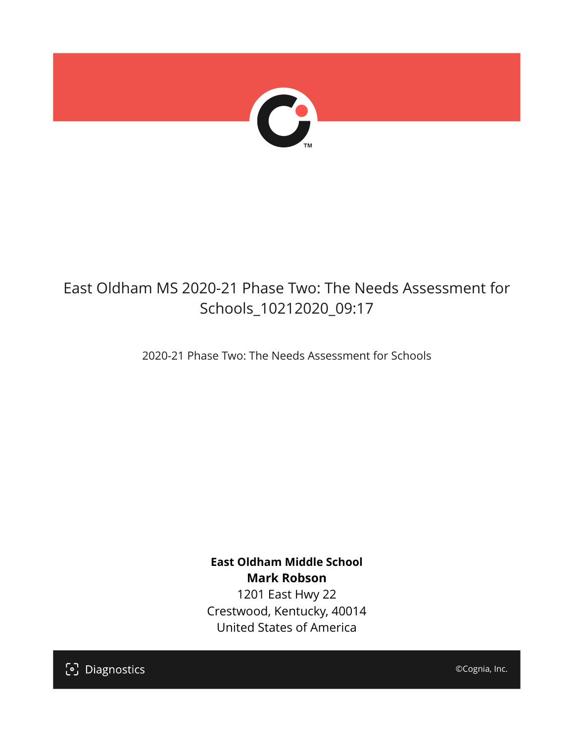

# East Oldham MS 2020-21 Phase Two: The Needs Assessment for Schools\_10212020\_09:17

2020-21 Phase Two: The Needs Assessment for Schools

**East Oldham Middle School Mark Robson** 1201 East Hwy 22 Crestwood, Kentucky, 40014 United States of America

[၁] Diagnostics

©Cognia, Inc.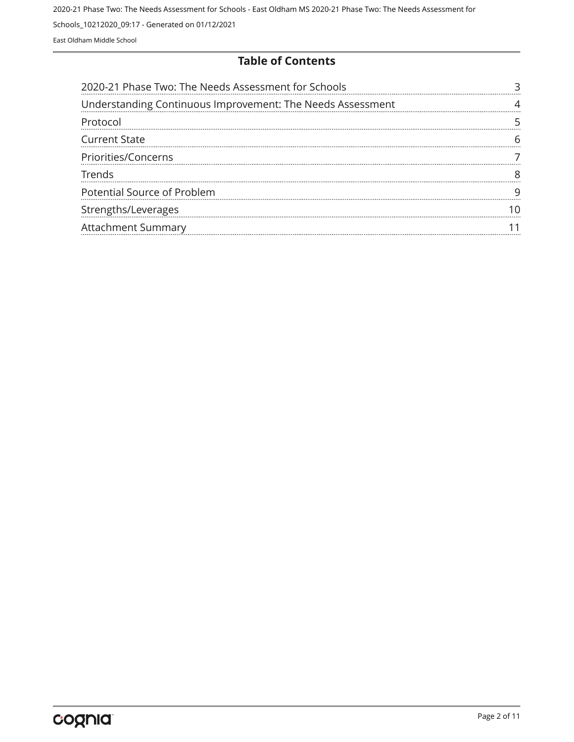#### **Table of Contents**

| 2020-21 Phase Two: The Needs Assessment for Schools        |  |
|------------------------------------------------------------|--|
| Understanding Continuous Improvement: The Needs Assessment |  |
| Protocol                                                   |  |
| <b>Current State</b>                                       |  |
| Priorities/Concerns                                        |  |
| Trends                                                     |  |
| Potential Source of Problem                                |  |
| Strengths/Leverages                                        |  |
| Attachment Summary                                         |  |
|                                                            |  |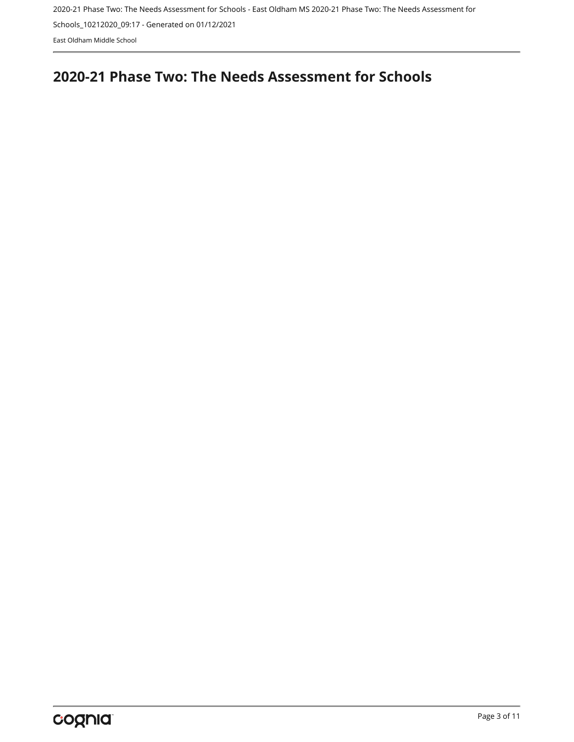## <span id="page-2-0"></span>**2020-21 Phase Two: The Needs Assessment for Schools**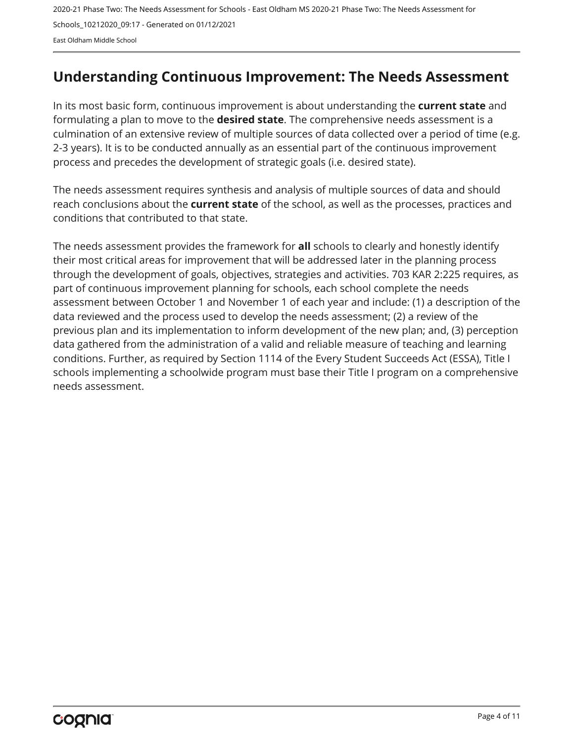## <span id="page-3-0"></span>**Understanding Continuous Improvement: The Needs Assessment**

In its most basic form, continuous improvement is about understanding the **current state** and formulating a plan to move to the **desired state**. The comprehensive needs assessment is a culmination of an extensive review of multiple sources of data collected over a period of time (e.g. 2-3 years). It is to be conducted annually as an essential part of the continuous improvement process and precedes the development of strategic goals (i.e. desired state).

The needs assessment requires synthesis and analysis of multiple sources of data and should reach conclusions about the **current state** of the school, as well as the processes, practices and conditions that contributed to that state.

The needs assessment provides the framework for **all** schools to clearly and honestly identify their most critical areas for improvement that will be addressed later in the planning process through the development of goals, objectives, strategies and activities. 703 KAR 2:225 requires, as part of continuous improvement planning for schools, each school complete the needs assessment between October 1 and November 1 of each year and include: (1) a description of the data reviewed and the process used to develop the needs assessment; (2) a review of the previous plan and its implementation to inform development of the new plan; and, (3) perception data gathered from the administration of a valid and reliable measure of teaching and learning conditions. Further, as required by Section 1114 of the Every Student Succeeds Act (ESSA), Title I schools implementing a schoolwide program must base their Title I program on a comprehensive needs assessment.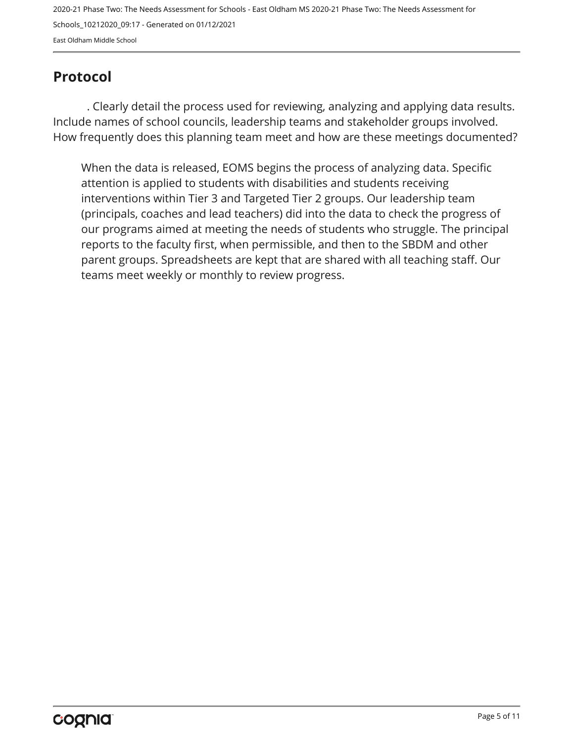## <span id="page-4-0"></span>**Protocol**

. Clearly detail the process used for reviewing, analyzing and applying data results. Include names of school councils, leadership teams and stakeholder groups involved. How frequently does this planning team meet and how are these meetings documented?

When the data is released, EOMS begins the process of analyzing data. Specific attention is applied to students with disabilities and students receiving interventions within Tier 3 and Targeted Tier 2 groups. Our leadership team (principals, coaches and lead teachers) did into the data to check the progress of our programs aimed at meeting the needs of students who struggle. The principal reports to the faculty first, when permissible, and then to the SBDM and other parent groups. Spreadsheets are kept that are shared with all teaching staff. Our teams meet weekly or monthly to review progress.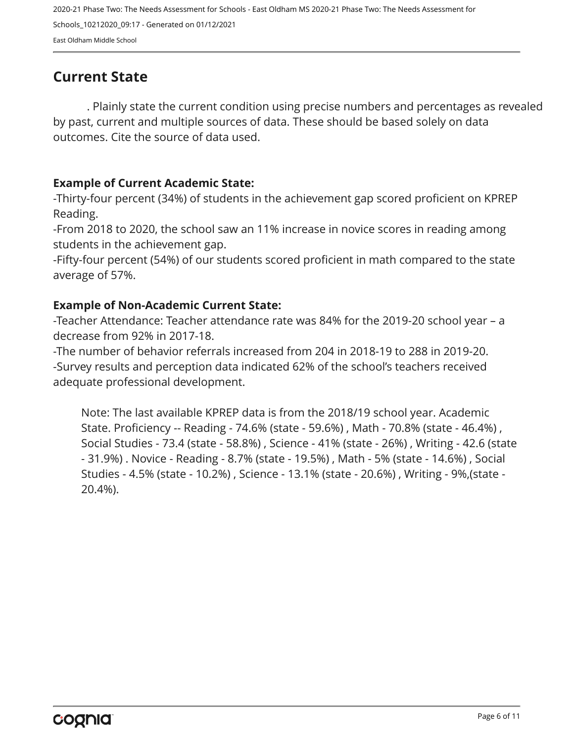## <span id="page-5-0"></span>**Current State**

. Plainly state the current condition using precise numbers and percentages as revealed by past, current and multiple sources of data. These should be based solely on data outcomes. Cite the source of data used.

#### **Example of Current Academic State:**

-Thirty-four percent (34%) of students in the achievement gap scored proficient on KPREP Reading.

-From 2018 to 2020, the school saw an 11% increase in novice scores in reading among students in the achievement gap.

-Fifty-four percent (54%) of our students scored proficient in math compared to the state average of 57%.

#### **Example of Non-Academic Current State:**

-Teacher Attendance: Teacher attendance rate was 84% for the 2019-20 school year – a decrease from 92% in 2017-18.

-The number of behavior referrals increased from 204 in 2018-19 to 288 in 2019-20. -Survey results and perception data indicated 62% of the school's teachers received adequate professional development.

Note: The last available KPREP data is from the 2018/19 school year. Academic State. Proficiency -- Reading - 74.6% (state - 59.6%) , Math - 70.8% (state - 46.4%) , Social Studies - 73.4 (state - 58.8%) , Science - 41% (state - 26%) , Writing - 42.6 (state - 31.9%) . Novice - Reading - 8.7% (state - 19.5%) , Math - 5% (state - 14.6%) , Social Studies - 4.5% (state - 10.2%) , Science - 13.1% (state - 20.6%) , Writing - 9%,(state - 20.4%).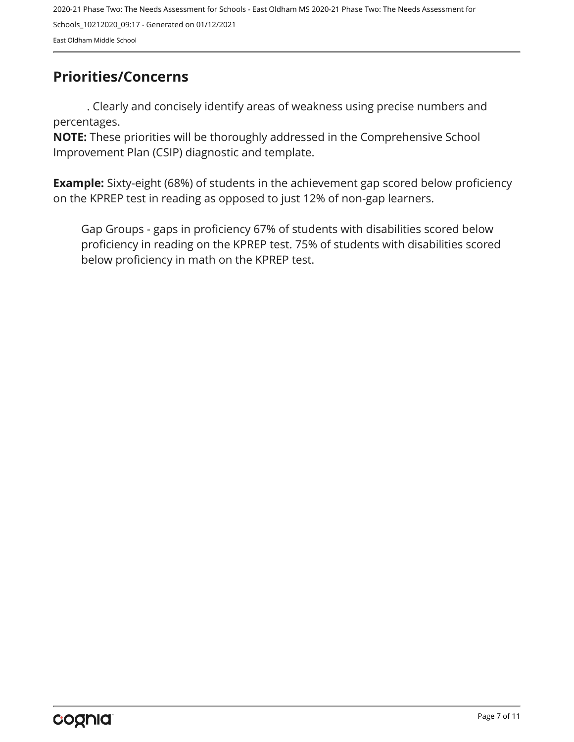## <span id="page-6-0"></span>**Priorities/Concerns**

. Clearly and concisely identify areas of weakness using precise numbers and percentages.

**NOTE:** These priorities will be thoroughly addressed in the Comprehensive School Improvement Plan (CSIP) diagnostic and template.

**Example:** Sixty-eight (68%) of students in the achievement gap scored below proficiency on the KPREP test in reading as opposed to just 12% of non-gap learners.

Gap Groups - gaps in proficiency 67% of students with disabilities scored below proficiency in reading on the KPREP test. 75% of students with disabilities scored below proficiency in math on the KPREP test.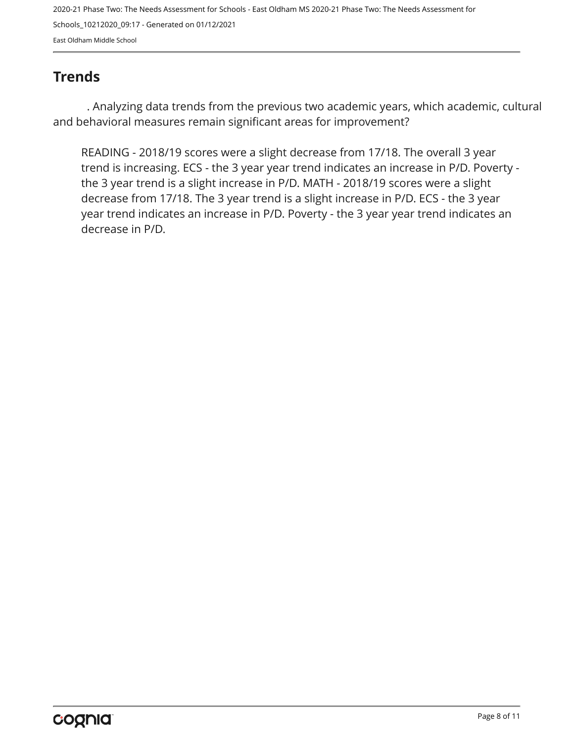## <span id="page-7-0"></span>**Trends**

. Analyzing data trends from the previous two academic years, which academic, cultural and behavioral measures remain significant areas for improvement?

READING - 2018/19 scores were a slight decrease from 17/18. The overall 3 year trend is increasing. ECS - the 3 year year trend indicates an increase in P/D. Poverty the 3 year trend is a slight increase in P/D. MATH - 2018/19 scores were a slight decrease from 17/18. The 3 year trend is a slight increase in P/D. ECS - the 3 year year trend indicates an increase in P/D. Poverty - the 3 year year trend indicates an decrease in P/D.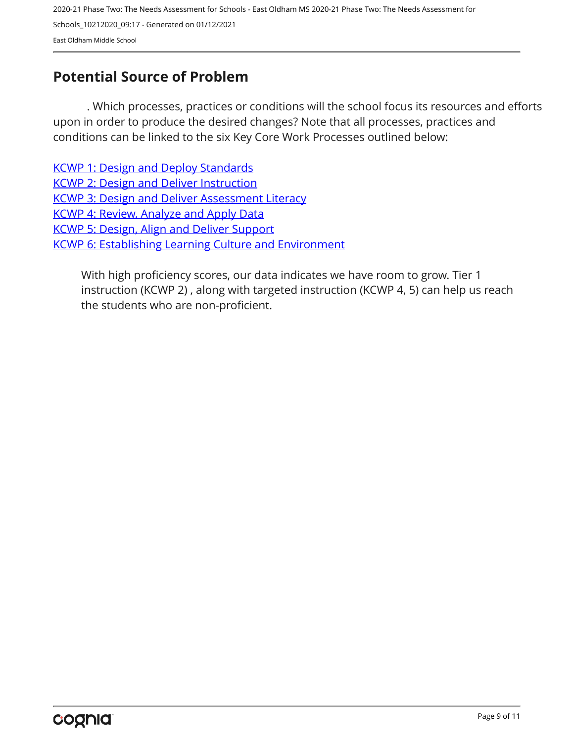## <span id="page-8-0"></span>**Potential Source of Problem**

. Which processes, practices or conditions will the school focus its resources and efforts upon in order to produce the desired changes? Note that all processes, practices and conditions can be linked to the six Key Core Work Processes outlined below:

[KCWP 1: Design and Deploy Standards](https://education.ky.gov/school/csip/Documents/KCWP 1 Strategic Design and Deploy Standards.pdf) [KCWP 2: Design and Deliver Instruction](https://education.ky.gov/school/csip/Documents/KCWP%202%20Strategic%20Design%20and%20Deliver%20Instruction.pdf) [KCWP 3: Design and Deliver Assessment Literacy](https://education.ky.gov/school/csip/Documents/KCWP%203%20Strategic%20Design%20and%20Deliver%20Assessment%20Literacy.pdf) [KCWP 4: Review, Analyze and Apply Data](https://education.ky.gov/school/csip/Documents/KCWP 4 Strategic Review Analyze and Apply Data.pdf) [KCWP 5: Design, Align and Deliver Support](https://education.ky.gov/school/csip/Documents/KCWP 5 Strategic Design Align Deliver Support Processes.pdf) [KCWP 6: Establishing Learning Culture and Environment](https://education.ky.gov/school/csip/Documents/KCWP 6 Strategic Establish Learning Culture and Environment.pdf)

With high proficiency scores, our data indicates we have room to grow. Tier 1 instruction (KCWP 2) , along with targeted instruction (KCWP 4, 5) can help us reach the students who are non-proficient.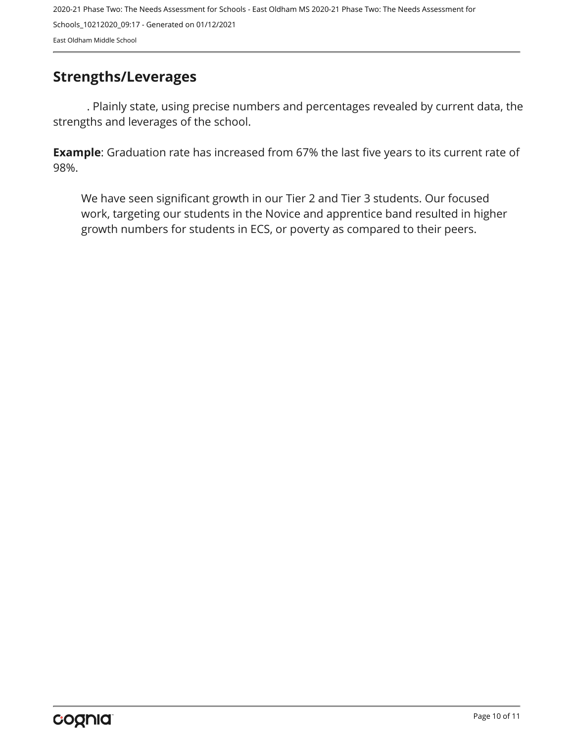### <span id="page-9-0"></span>**Strengths/Leverages**

. Plainly state, using precise numbers and percentages revealed by current data, the strengths and leverages of the school.

**Example**: Graduation rate has increased from 67% the last five years to its current rate of 98%.

We have seen significant growth in our Tier 2 and Tier 3 students. Our focused work, targeting our students in the Novice and apprentice band resulted in higher growth numbers for students in ECS, or poverty as compared to their peers.